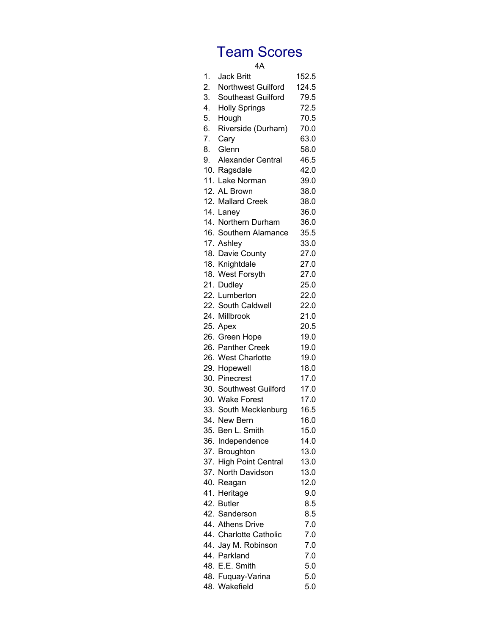|    | 4A                       |       |
|----|--------------------------|-------|
| 1. | <b>Jack Britt</b>        | 152.5 |
| 2. | Northwest Guilford       | 124.5 |
| 3. | Southeast Guilford       | 79.5  |
| 4. | <b>Holly Springs</b>     | 72.5  |
| 5. | Hough                    | 70.5  |
| 6. | Riverside (Durham)       | 70.0  |
| 7. | Cary                     | 63.0  |
| 8. | Glenn                    | 58.0  |
| 9. | <b>Alexander Central</b> | 46.5  |
|    | 10. Ragsdale             | 42.0  |
|    | 11. Lake Norman          | 39.0  |
|    | 12. AL Brown             | 38.0  |
|    | 12. Mallard Creek        | 38.0  |
|    | 14. Laney                | 36.0  |
|    | 14. Northern Durham      | 36.0  |
|    | 16. Southern Alamance    | 35.5  |
|    | 17. Ashley               | 33.0  |
|    | 18. Davie County         | 27.0  |
|    | 18. Knightdale           | 27.0  |
|    | 18. West Forsyth         | 27.0  |
|    | 21. Dudley               | 25.0  |
|    | 22. Lumberton            | 22.0  |
|    |                          |       |
|    | 22. South Caldwell       | 22.0  |
|    | 24. Millbrook            | 21.0  |
|    | 25. Apex                 | 20.5  |
|    | 26. Green Hope           | 19.0  |
|    | 26. Panther Creek        | 19.0  |
|    | 26. West Charlotte       | 19.0  |
|    | 29. Hopewell             | 18.0  |
|    | 30. Pinecrest            | 17.0  |
|    | 30. Southwest Guilford   | 17.0  |
|    | 30. Wake Forest          | 17.0  |
|    | 33. South Mecklenburg    | 16.5  |
|    | 34. New Bern             | 16.0  |
|    | 35. Ben L. Smith         | 15.0  |
|    | 36. Independence         | 14.0  |
|    | 37. Broughton            | 13.0  |
|    | 37. High Point Central   | 13.0  |
|    | 37. North Davidson       | 13.0  |
|    | 40. Reagan               | 12.0  |
|    | 41. Heritage             | 9.0   |
|    | 42. Butler               | 8.5   |
|    | 42. Sanderson            | 8.5   |
|    | 44. Athens Drive         | 7.0   |
|    | 44. Charlotte Catholic   | 7.0   |
|    | 44. Jay M. Robinson      | 7.0   |
|    | 44. Parkland             | 7.0   |
|    | 48. E.E. Smith           | 5.0   |
|    | 48. Fuquay-Varina        | 5.0   |
|    | 48. Wakefield            | 5.0   |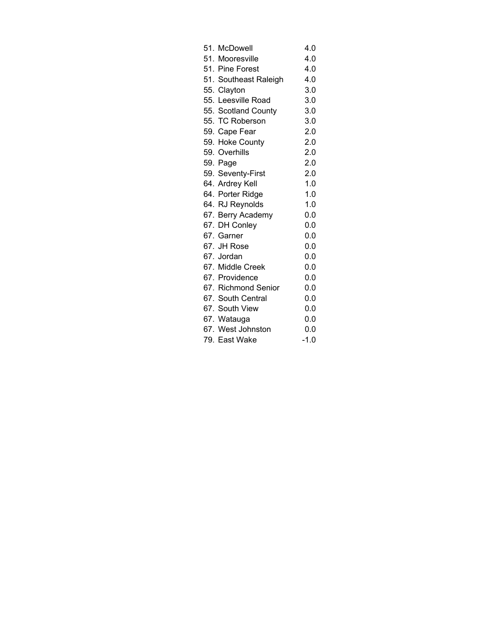| 51. McDowell          | 4.0    |
|-----------------------|--------|
| 51. Mooresville       | 4.0    |
| 51. Pine Forest       | 4.0    |
| 51. Southeast Raleigh | 4.0    |
| 55. Clayton           | 3.0    |
| 55. Leesville Road    | 3.0    |
| 55. Scotland County   | 3.0    |
| 55. TC Roberson       | 3.0    |
| 59. Cape Fear         | 2.0    |
| 59. Hoke County       | 2.0    |
| 59. Overhills         | 2.0    |
| 59. Page              | 2.0    |
| 59. Seventy-First     | 2.0    |
| 64. Ardrey Kell       | 1.0    |
| 64. Porter Ridge      | 1.0    |
| 64. RJ Reynolds       | 1.0    |
| 67. Berry Academy     | 0.0    |
| 67. DH Conley         | 0.0    |
| 67. Garner            | 0.0    |
| 67. JH Rose           | 0.0    |
| 67. Jordan            | 0.0    |
| 67. Middle Creek      | 0.0    |
| 67. Providence        | 0.0    |
| 67. Richmond Senior   | 0.0    |
| 67. South Central     | 0.0    |
| 67. South View        | 0.0    |
| 67. Watauga           | 0.0    |
| 67. West Johnston     | 0.0    |
| 79. East Wake         | $-1.0$ |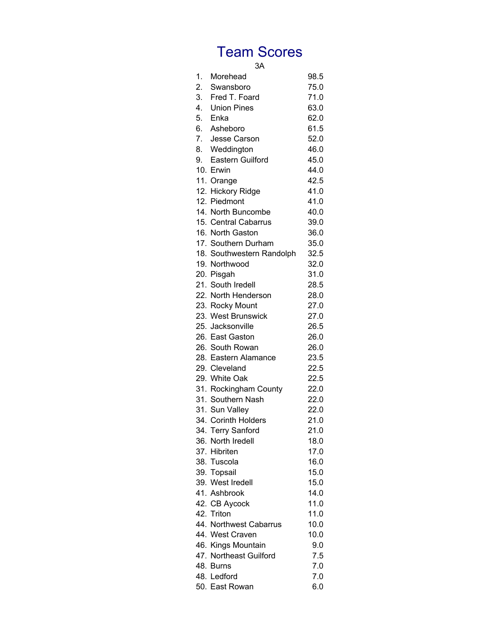#### 3A

| 1. | Morehead                  | 98.5 |
|----|---------------------------|------|
| 2. | Swansboro                 | 75.0 |
| 3. | Fred T. Foard             | 71.0 |
| 4. | <b>Union Pines</b>        | 63.0 |
| 5. | Enka                      | 62.0 |
|    | 6. Asheboro               | 61.5 |
|    | 7. Jesse Carson           | 52.0 |
| 8. | Weddington                | 46.0 |
| 9. | <b>Eastern Guilford</b>   | 45.0 |
|    | 10. Erwin                 | 44.0 |
|    | 11. Orange                | 42.5 |
|    | 12. Hickory Ridge         | 41.0 |
|    | 12. Piedmont              | 41.0 |
|    | 14. North Buncombe        | 40.0 |
|    | 15. Central Cabarrus      | 39.0 |
|    | 16. North Gaston          | 36.0 |
|    | 17. Southern Durham       | 35.0 |
|    | 18. Southwestern Randolph | 32.5 |
|    | 19. Northwood             | 32.0 |
|    | 20. Pisgah                | 31.0 |
|    | 21. South Iredell         | 28.5 |
|    | 22. North Henderson       | 28.0 |
|    | 23. Rocky Mount           | 27.0 |
|    | 23. West Brunswick        | 27.0 |
|    | 25. Jacksonville          | 26.5 |
|    | 26. East Gaston           | 26.0 |
|    | 26. South Rowan           | 26.0 |
|    | 28. Eastern Alamance      | 23.5 |
|    | 29. Cleveland             | 22.5 |
|    | 29. White Oak             | 22.5 |
|    | 31. Rockingham County     | 22.0 |
|    | 31. Southern Nash         | 22.0 |
|    | 31. Sun Valley            | 22.0 |
|    | 34. Corinth Holders       | 21.0 |
|    | 34. Terry Sanford         | 21.0 |
|    | 36. North Iredell         | 18.0 |
|    | 37. Hibriten              | 17.0 |
|    | 38. Tuscola               | 16.0 |
|    | 39. Topsail               | 15.0 |
|    | 39. West Iredell          | 15.0 |
|    | 41. Ashbrook              | 14.0 |
|    | 42. CB Aycock             | 11.0 |
|    | 42. Triton                | 11.0 |
|    | 44. Northwest Cabarrus    | 10.0 |
|    | 44. West Craven           | 10.0 |
|    | 46. Kings Mountain        | 9.0  |
|    | 47. Northeast Guilford    | 7.5  |
|    | 48. Burns                 | 7.0  |
|    | 48. Ledford               | 7.0  |
|    | 50. East Rowan            | 6.0  |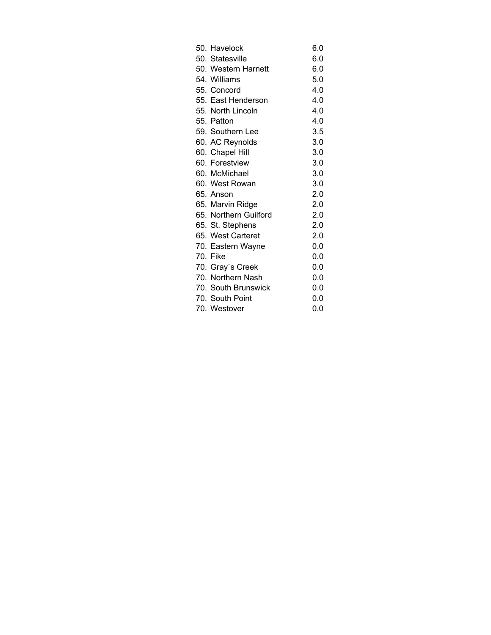| 50. Havelock          | 6.0 |
|-----------------------|-----|
| 50. Statesville       | 6.0 |
| 50. Western Harnett   | 6.0 |
| 54. Williams          | 5.0 |
| 55. Concord           | 4.0 |
| 55. East Henderson    | 4.0 |
| 55. North Lincoln     | 4.0 |
| 55. Patton            | 4.0 |
| 59. Southern Lee      | 3.5 |
| 60. AC Reynolds       | 3.0 |
| 60. Chapel Hill       | 3.0 |
| 60. Forestview        | 3.0 |
| 60. McMichael         | 3.0 |
| 60. West Rowan        | 3.0 |
| 65. Anson             | 2.0 |
| 65. Marvin Ridge      | 2.0 |
| 65. Northern Guilford | 2.0 |
| 65. St. Stephens      | 2.0 |
| 65. West Carteret     | 2.0 |
| 70. Eastern Wayne     | 0.0 |
| 70. Fike              | 0.0 |
| 70. Gray's Creek      | 0.0 |
| 70. Northern Nash     | 0.0 |
| 70. South Brunswick   | 0.0 |
| 70. South Point       | 0.0 |
| 70. Westover          | 0.0 |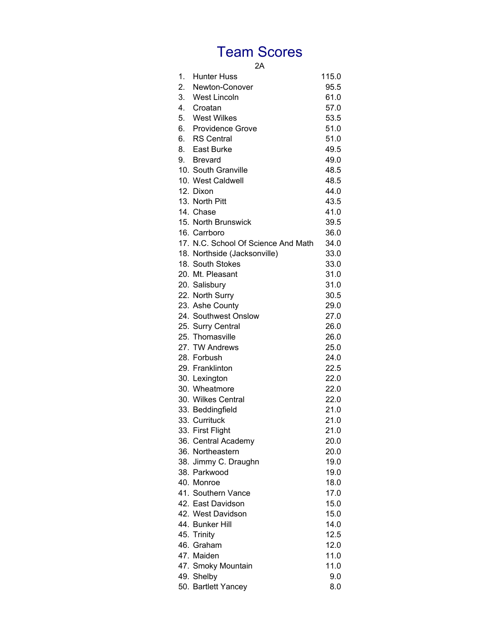2A

| 1. | <b>Hunter Huss</b>                  | 115.0 |
|----|-------------------------------------|-------|
| 2. | Newton-Conover                      | 95.5  |
|    | 3. West Lincoln                     | 61.0  |
|    | 4. Croatan                          | 57.0  |
|    | 5. West Wilkes                      | 53.5  |
|    | 6. Providence Grove                 | 51.0  |
|    | 6. RS Central                       | 51.0  |
|    | 8. East Burke                       | 49.5  |
|    | 9. Brevard                          | 49.0  |
|    | 10. South Granville                 | 48.5  |
|    | 10. West Caldwell                   | 48.5  |
|    | 12. Dixon                           | 44.0  |
|    | 13. North Pitt                      | 43.5  |
|    | 14. Chase                           | 41.0  |
|    | 15. North Brunswick                 | 39.5  |
|    | 16. Carrboro                        | 36.0  |
|    | 17. N.C. School Of Science And Math | 34.0  |
|    | 18. Northside (Jacksonville)        | 33.0  |
|    | 18. South Stokes                    | 33.0  |
|    | 20. Mt. Pleasant                    | 31.0  |
|    | 20. Salisbury                       | 31.0  |
|    | 22. North Surry                     | 30.5  |
|    | 23. Ashe County                     | 29.0  |
|    | 24. Southwest Onslow                | 27.0  |
|    | 25. Surry Central                   | 26.0  |
|    | 25. Thomasville                     | 26.0  |
|    | 27. TW Andrews                      | 25.0  |
|    | 28. Forbush                         | 24.0  |
|    | 29. Franklinton                     | 22.5  |
|    | 30. Lexington                       | 22.0  |
|    | 30. Wheatmore                       | 22.0  |
|    | 30. Wilkes Central                  | 22.0  |
|    | 33. Beddingfield                    | 21.0  |
|    | 33. Currituck                       | 21.0  |
|    | 33. First Flight                    | 21.0  |
|    | 36. Central Academy                 | 20.0  |
|    | 36. Northeastern                    | 20.0  |
|    | 38. Jimmy C. Draughn                | 19.0  |
|    | 38. Parkwood                        | 19.0  |
|    | 40. Monroe                          | 18.0  |
|    | 41. Southern Vance                  | 17.0  |
|    | 42. East Davidson                   |       |
|    | 42. West Davidson                   | 15.0  |
|    |                                     | 15.0  |
|    | 44. Bunker Hill                     | 14.0  |
|    | 45. Trinity                         | 12.5  |
|    | 46. Graham                          | 12.0  |
|    | 47. Maiden                          | 11.0  |
|    | 47. Smoky Mountain                  | 11.0  |
|    | 49. Shelby                          | 9.0   |
|    | 50. Bartlett Yancey                 | 8.0   |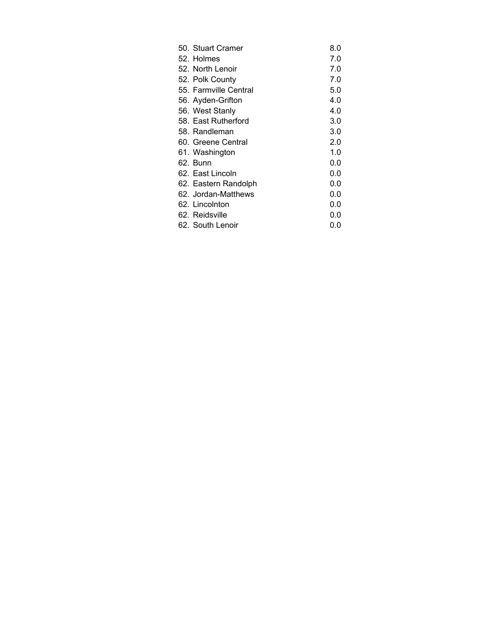| 50. Stuart Cramer     | 8.0 |
|-----------------------|-----|
| 52. Holmes            | 7.0 |
| 52. North Lenoir      | 7.0 |
| 52. Polk County       | 7.0 |
| 55. Farmville Central | 5.0 |
| 56. Ayden-Grifton     | 4.0 |
| 56. West Stanly       | 4.0 |
| 58. East Rutherford   | 3.0 |
| 58. Randleman         | 3.0 |
| 60. Greene Central    | 2.0 |
| 61. Washington        | 1.0 |
| 62. Bunn              | 0.0 |
| 62. East Lincoln      | 0.0 |
| 62. Eastern Randolph  | 0.0 |
| 62. Jordan-Matthews   | 0.0 |
| 62. Lincolnton        | 0.0 |
| 62. Reidsville        | 0.0 |
| 62. South Lenoir      | 0.0 |